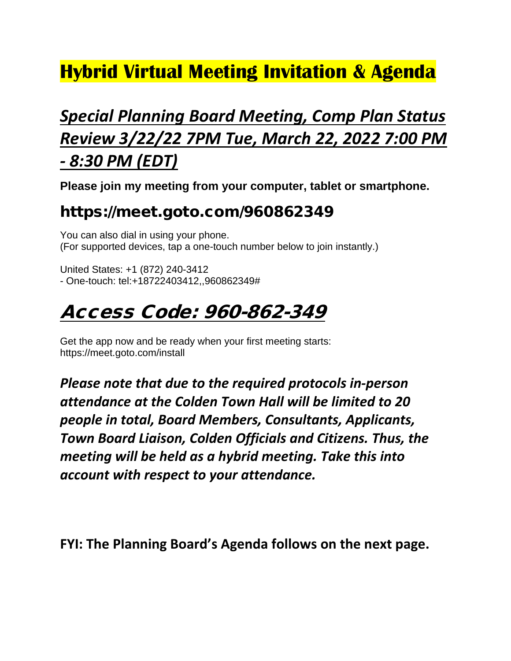# **Hybrid Virtual Meeting Invitation & Agenda**

# *Special Planning Board Meeting, Comp Plan Status Review 3/22/22 7PM Tue, March 22, 2022 7:00 PM - 8:30 PM (EDT)*

**Please join my meeting from your computer, tablet or smartphone.**

#### https://meet.goto.com/960862349

You can also dial in using your phone. (For supported devices, tap a one-touch number below to join instantly.)

United States: +1 (872) 240-3412 - One-touch: tel:+18722403412,,960862349#

### Access Code: 960-862-349

Get the app now and be ready when your first meeting starts: https://meet.goto.com/install

*Please note that due to the required protocols in-person attendance at the Colden Town Hall will be limited to 20 people in total, Board Members, Consultants, Applicants, Town Board Liaison, Colden Officials and Citizens. Thus, the meeting will be held as a hybrid meeting. Take this into account with respect to your attendance.*

**FYI: The Planning Board's Agenda follows on the next page.**